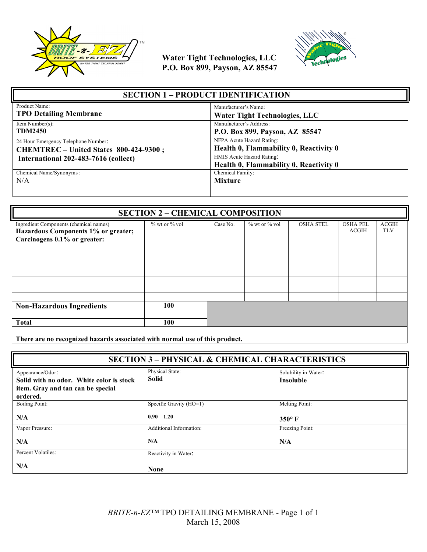



| <b>SECTION 1 - PRODUCT IDENTIFICATION</b>                                                                             |                                                                                                                                            |  |
|-----------------------------------------------------------------------------------------------------------------------|--------------------------------------------------------------------------------------------------------------------------------------------|--|
| Product Name:                                                                                                         | Manufacturer's Name:                                                                                                                       |  |
| <b>TPO Detailing Membrane</b>                                                                                         | <b>Water Tight Technologies, LLC</b>                                                                                                       |  |
| Item Number $(s)$ :                                                                                                   | Manufacturer's Address:                                                                                                                    |  |
| <b>TDM2450</b>                                                                                                        | P.O. Box 899, Payson, AZ 85547                                                                                                             |  |
| 24 Hour Emergency Telephone Number:<br>CHEMTREC - United States 800-424-9300;<br>International 202-483-7616 (collect) | NFPA Acute Hazard Rating:<br>Health 0, Flammability 0, Reactivity 0<br>HMIS Acute Hazard Rating:<br>Health 0, Flammability 0, Reactivity 0 |  |
| Chemical Name/Synonyms:                                                                                               | Chemical Family:                                                                                                                           |  |
| N/A                                                                                                                   | <b>Mixture</b>                                                                                                                             |  |

| <b>SECTION 2 - CHEMICAL COMPOSITION</b>                                                                       |                     |          |                   |                  |                                 |                            |
|---------------------------------------------------------------------------------------------------------------|---------------------|----------|-------------------|------------------|---------------------------------|----------------------------|
| Ingredient Components (chemical names)<br>Hazardous Components 1% or greater;<br>Carcinogens 0.1% or greater: | $\%$ wt or $\%$ vol | Case No. | $%$ wt or $%$ vol | <b>OSHA STEL</b> | <b>OSHA PEL</b><br><b>ACGIH</b> | <b>ACGIH</b><br><b>TLV</b> |
|                                                                                                               |                     |          |                   |                  |                                 |                            |
|                                                                                                               |                     |          |                   |                  |                                 |                            |
|                                                                                                               |                     |          |                   |                  |                                 |                            |
| <b>Non-Hazardous Ingredients</b>                                                                              | 100                 |          |                   |                  |                                 |                            |
| <b>Total</b>                                                                                                  | 100                 |          |                   |                  |                                 |                            |
|                                                                                                               |                     |          |                   |                  |                                 |                            |

**There are no recognized hazards associated with normal use of this product.**

| <b>SECTION 3 - PHYSICAL &amp; CHEMICAL CHARACTERISTICS</b>                                                    |                                 |                                   |
|---------------------------------------------------------------------------------------------------------------|---------------------------------|-----------------------------------|
| Appearance/Odor:<br>Solid with no odor. White color is stock<br>item. Gray and tan can be special<br>ordered. | Physical State:<br><b>Solid</b> | Solubility in Water:<br>Insoluble |
| <b>Boiling Point:</b>                                                                                         | Specific Gravity (HO=1)         | Melting Point:                    |
| N/A                                                                                                           | $0.90 - 1.20$                   | $350^\circ$ F                     |
| Vapor Pressure:                                                                                               | Additional Information:         | Freezing Point:                   |
| N/A                                                                                                           | N/A                             | N/A                               |
| Percent Volatiles:                                                                                            | Reactivity in Water:            |                                   |
| N/A                                                                                                           | <b>None</b>                     |                                   |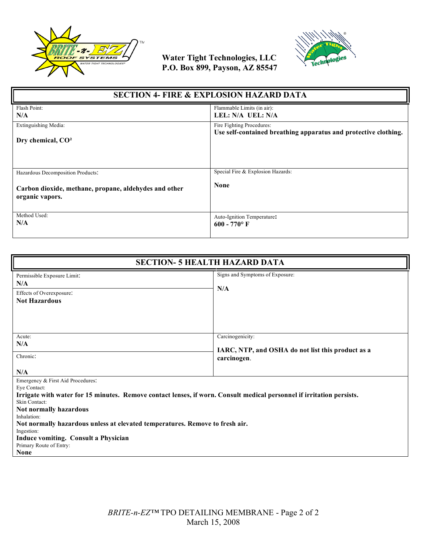



| <b>SECTION 4- FIRE &amp; EXPLOSION HAZARD DATA</b>                                                            |                                                                 |  |
|---------------------------------------------------------------------------------------------------------------|-----------------------------------------------------------------|--|
| Flash Point:                                                                                                  | Flammable Limits (in air):                                      |  |
| N/A                                                                                                           | LEL: N/A UEL: N/A                                               |  |
| Extinguishing Media:                                                                                          | Fire Fighting Procedures:                                       |  |
| Dry chemical, $CO2$                                                                                           | Use self-contained breathing apparatus and protective clothing. |  |
| Hazardous Decomposition Products:<br>Carbon dioxide, methane, propane, aldehydes and other<br>organic vapors. | Special Fire & Explosion Hazards:<br><b>None</b>                |  |
| Method Used:                                                                                                  | Auto-Ignition Temperature:                                      |  |
| N/A                                                                                                           | $600 - 770$ °F                                                  |  |

| <b>SECTION- 5 HEALTH HAZARD DATA</b>                                                                                                                                                                                                                                                                                                                                                                                 |                                                                                      |  |
|----------------------------------------------------------------------------------------------------------------------------------------------------------------------------------------------------------------------------------------------------------------------------------------------------------------------------------------------------------------------------------------------------------------------|--------------------------------------------------------------------------------------|--|
| Permissible Exposure Limit:<br>N/A<br>Effects of Overexposure:<br><b>Not Hazardous</b>                                                                                                                                                                                                                                                                                                                               | Signs and Symptoms of Exposure:<br>N/A                                               |  |
| Acute:<br>N/A<br>Chronic:<br>N/A                                                                                                                                                                                                                                                                                                                                                                                     | Carcinogenicity:<br>IARC, NTP, and OSHA do not list this product as a<br>carcinogen. |  |
| Emergency & First Aid Procedures:<br>Eye Contact:<br>Irrigate with water for 15 minutes. Remove contact lenses, if worn. Consult medical personnel if irritation persists.<br>Skin Contact:<br>Not normally hazardous<br>Inhalation:<br>Not normally hazardous unless at elevated temperatures. Remove to fresh air.<br>Ingestion:<br>Induce vomiting. Consult a Physician<br>Primary Route of Entry:<br><b>None</b> |                                                                                      |  |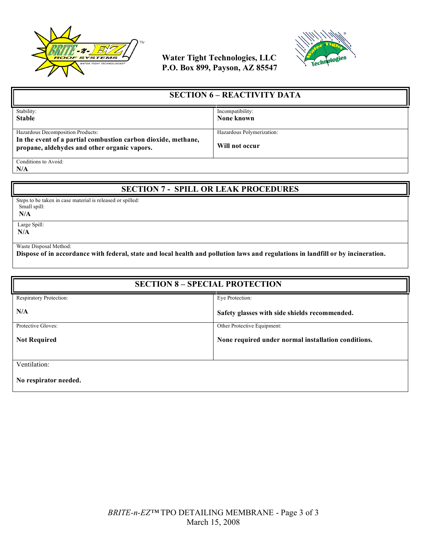



| <b>SECTION 6 – REACTIVITY DATA</b>                                                                            |                           |
|---------------------------------------------------------------------------------------------------------------|---------------------------|
| Stability:                                                                                                    | Incompatibility:          |
| <b>Stable</b>                                                                                                 | None known                |
|                                                                                                               |                           |
| Hazardous Decomposition Products:                                                                             | Hazardous Polymerization: |
| In the event of a partial combustion carbon dioxide, methane,<br>propane, aldehydes and other organic vapors. | Will not occur            |
| Conditions to Avoid:                                                                                          |                           |

**N/A**

### **SECTION 7 - SPILL OR LEAK PROCEDURES**

Steps to be taken in case material is released or spilled: Small spill:

 **N/A**

 Large Spill: **N/A**

Waste Disposal Method:

**Dispose of in accordance with federal, state and local health and pollution laws and regulations in landfill or by incineration.**

| <b>SECTION 8 - SPECIAL PROTECTION</b> |                                                     |  |
|---------------------------------------|-----------------------------------------------------|--|
| Respiratory Protection:               | Eve Protection:                                     |  |
| N/A                                   | Safety glasses with side shields recommended.       |  |
| Protective Gloves:                    | Other Protective Equipment:                         |  |
| <b>Not Required</b>                   | None required under normal installation conditions. |  |
|                                       |                                                     |  |
| Ventilation:                          |                                                     |  |
| No respirator needed.                 |                                                     |  |